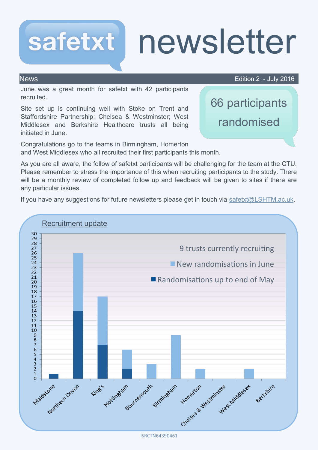# safetxt newsletter

News Edition 2 - July 2016

66 participants

randomised

June was a great month for safetxt with 42 participants recruited.

Site set up is continuing well with Stoke on Trent and Staffordshire Partnership; Chelsea & Westminster; West Middlesex and Berkshire Healthcare trusts all being initiated in June.

Congratulations go to the teams in Birmingham, Homerton and West Middlesex who all recruited their first participants this month.

As you are all aware, the follow of safetxt participants will be challenging for the team at the CTU. Please remember to stress the importance of this when recruiting participants to the study. There will be a monthly review of completed follow up and feedback will be given to sites if there are any particular issues.

If you have any suggestions for future newsletters please get in touch via safetxt@LSHTM.ac.uk.